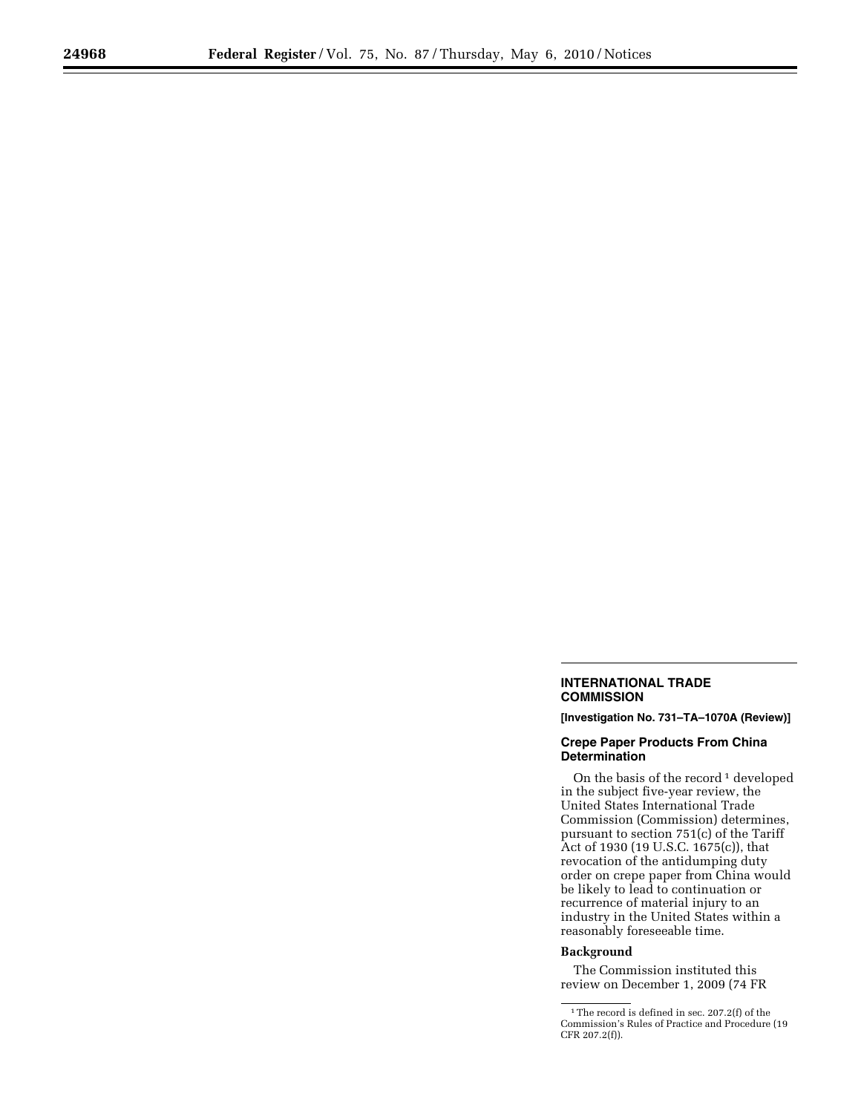## **INTERNATIONAL TRADE COMMISSION**

**[Investigation No. 731–TA–1070A (Review)]** 

## **Crepe Paper Products From China Determination**

On the basis of the record<sup>1</sup> developed in the subject five-year review, the United States International Trade Commission (Commission) determines, pursuant to section 751(c) of the Tariff Act of 1930 (19 U.S.C. 1675(c)), that revocation of the antidumping duty order on crepe paper from China would be likely to lead to continuation or recurrence of material injury to an industry in the United States within a reasonably foreseeable time.

## **Background**

The Commission instituted this review on December 1, 2009 (74 FR

<sup>1</sup>The record is defined in sec. 207.2(f) of the Commission's Rules of Practice and Procedure (19 CFR 207.2(f)).